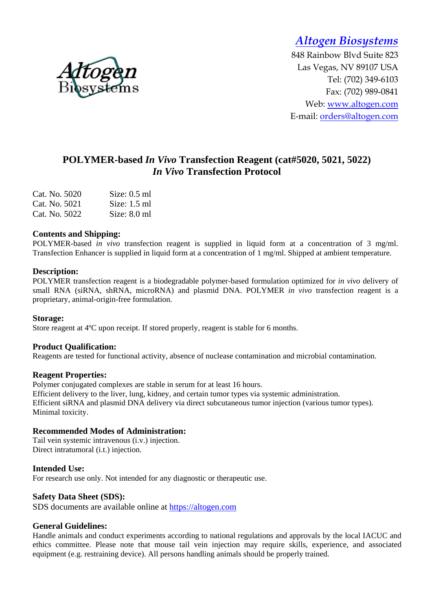

848 Rainbow Blvd Suite 823 Las Vegas, NV 89107 USA Tel: (702) 349-6103 Fax: (702) 989-0841 Web: www.altogen.com E-mail: orders@altogen.com

# **POLYMER-based** *In Vivo* **Transfection Reagent (cat#5020, 5021, 5022)**  *In Vivo* **Transfection Protocol**

| Cat. No. 5020 | Size: $0.5$ ml |
|---------------|----------------|
| Cat. No. 5021 | Size: $1.5$ ml |
| Cat. No. 5022 | Size: $8.0$ ml |

#### **Contents and Shipping:**

POLYMER-based *in vivo* transfection reagent is supplied in liquid form at a concentration of 3 mg/ml. Transfection Enhancer is supplied in liquid form at a concentration of 1 mg/ml. Shipped at ambient temperature.

#### **Description:**

POLYMER transfection reagent is a biodegradable polymer-based formulation optimized for *in vivo* delivery of small RNA (siRNA, shRNA, microRNA) and plasmid DNA. POLYMER *in vivo* transfection reagent is a proprietary, animal-origin-free formulation.

#### **Storage:**

Store reagent at 4ºC upon receipt. If stored properly, reagent is stable for 6 months.

#### **Product Qualification:**

Reagents are tested for functional activity, absence of nuclease contamination and microbial contamination.

#### **Reagent Properties:**

Polymer conjugated complexes are stable in serum for at least 16 hours. Efficient delivery to the liver, lung, kidney, and certain tumor types via systemic administration. Efficient siRNA and plasmid DNA delivery via direct subcutaneous tumor injection (various tumor types). Minimal toxicity.

### **Recommended Modes of Administration:**

Tail vein systemic intravenous (i.v.) injection. Direct intratumoral (i.t.) injection.

#### **Intended Use:**

For research use only. Not intended for any diagnostic or therapeutic use.

### **Safety Data Sheet (SDS):**

SDS documents are available online at https://altogen.com

### **General Guidelines:**

Handle animals and conduct experiments according to national regulations and approvals by the local IACUC and ethics committee. Please note that mouse tail vein injection may require skills, experience, and associated equipment (e.g. restraining device). All persons handling animals should be properly trained.